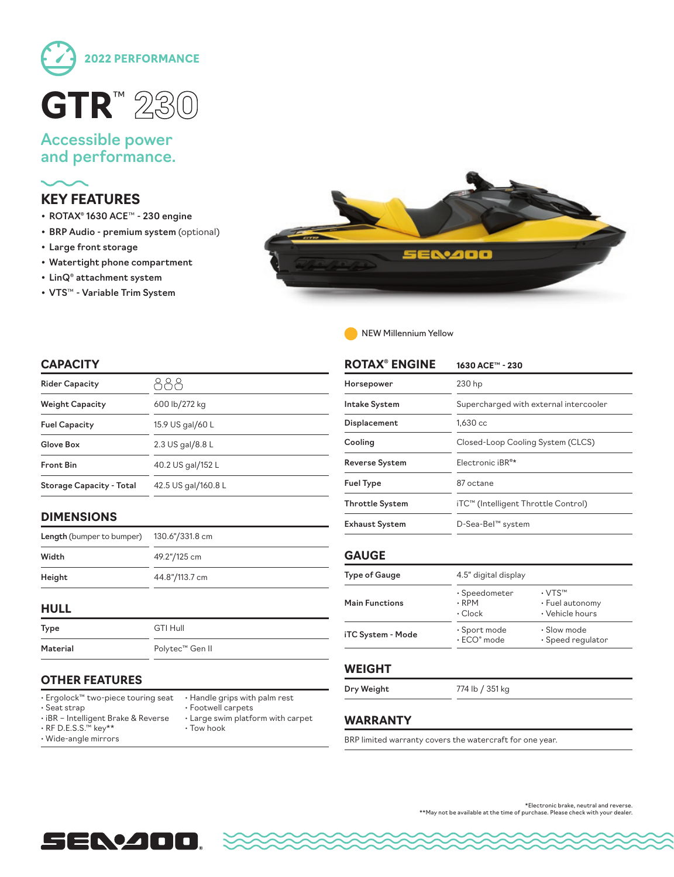

# Accessible power and performance.

# **KEY FEATURES**

- ROTAX® 1630 ACE™ 230 engine
- BRP Audio premium system (optional)
- Large front storage
- Watertight phone compartment
- LinQ® attachment system
- VTS™ Variable Trim System



NEW Millennium Yellow

### **CAPACITY**

| <b>Rider Capacity</b>           |                     |  |
|---------------------------------|---------------------|--|
| <b>Weight Capacity</b>          | 600 lb/272 kg       |  |
| <b>Fuel Capacity</b>            | 15.9 US gal/60 L    |  |
| Glove Box                       | 2.3 US gal/8.8 L    |  |
| <b>Front Bin</b>                | 40.2 US gal/152 L   |  |
| <b>Storage Capacity - Total</b> | 42.5 US gal/160.8 L |  |

## **DIMENSIONS**

| <b>Length</b> (bumper to bumper) | 130.6"/331.8 cm |
|----------------------------------|-----------------|
| Width                            | 49.2"/125 cm    |
| Height                           | 44.8"/113.7 cm  |

#### **HULL**

| Type     | GTI Hull        |
|----------|-----------------|
| Material | Polytec™ Gen II |

| GTI Hull        |
|-----------------|
| Polytec™ Gen II |

# **OTHER FEATURES**

- Ergolock™ two-piece touring seat
- Seat strap

• Handle grips with palm rest • Footwell carpets

- iBR Intelligent Brake & Reverse
	- Large swim platform with carpet • Tow hook
- RF D.E.S.S.™ key\*\* • Wide-angle mirrors
	-

| <b>ROTAX® ENGINE</b>   | 1630 ACE™ - 230                                     |                                                                 |  |
|------------------------|-----------------------------------------------------|-----------------------------------------------------------------|--|
| Horsepower             | 230 hp                                              |                                                                 |  |
| <b>Intake System</b>   | Supercharged with external intercooler              |                                                                 |  |
| Displacement           | 1,630 cc                                            |                                                                 |  |
| Cooling                | Closed-Loop Cooling System (CLCS)                   |                                                                 |  |
| <b>Reverse System</b>  | Electronic iBR <sup>®*</sup>                        |                                                                 |  |
| <b>Fuel Type</b>       | 87 octane                                           |                                                                 |  |
| <b>Throttle System</b> | iTC™ (Intelligent Throttle Control)                 |                                                                 |  |
| <b>Exhaust System</b>  | D-Sea-Bel™ system                                   |                                                                 |  |
| <b>GAUGE</b>           |                                                     |                                                                 |  |
| Type of Gauge          | 4.5" digital display                                |                                                                 |  |
| <b>Main Functions</b>  | $\cdot$ Speedometer<br>$\cdot$ RPM<br>$\cdot$ Clock | $\cdot$ VTS <sup>TM</sup><br>• Fuel autonomy<br>• Vehicle hours |  |
| iTC System - Mode      | · Sport mode<br>$\cdot$ ECO $^{\circ}$ mode         | • Slow mode<br>$\cdot$ Speed regulator                          |  |
| <b>WEIGHT</b>          |                                                     |                                                                 |  |
| Dry Weight             | 774 lb / 351 kg                                     |                                                                 |  |

## **WARRANTY**

BRP limited warranty covers the watercraft for one year.



\*Electronic brake, neutral and reverse. \*\*May not be available at the time of purchase. Please check with your dealer.